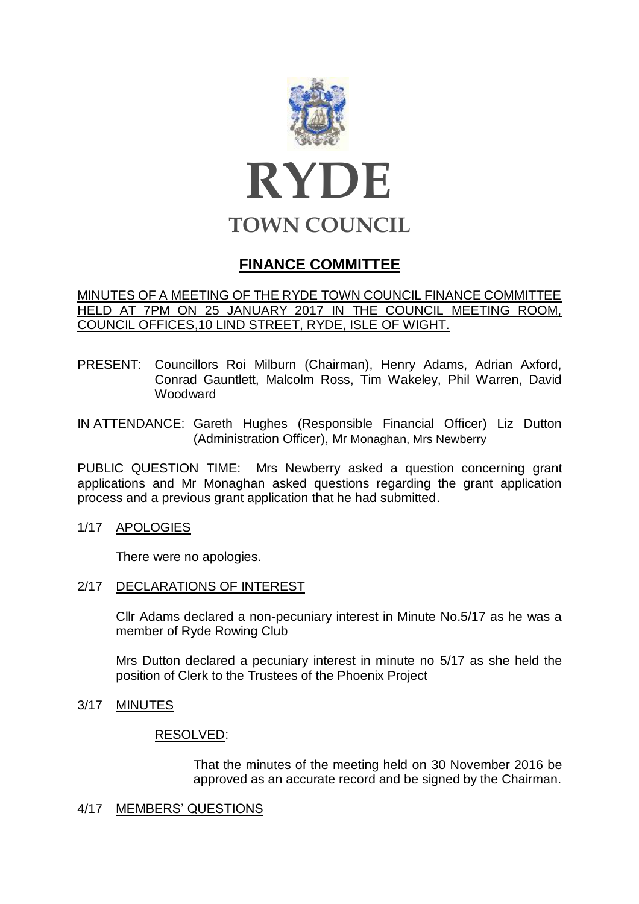

# **FINANCE COMMITTEE**

## MINUTES OF A MEETING OF THE RYDE TOWN COUNCIL FINANCE COMMITTEE HELD AT 7PM ON 25 JANUARY 2017 IN THE COUNCIL MEETING ROOM, COUNCIL OFFICES,10 LIND STREET, RYDE, ISLE OF WIGHT.

PRESENT: Councillors Roi Milburn (Chairman), Henry Adams, Adrian Axford, Conrad Gauntlett, Malcolm Ross, Tim Wakeley, Phil Warren, David Woodward

IN ATTENDANCE: Gareth Hughes (Responsible Financial Officer) Liz Dutton (Administration Officer), Mr Monaghan, Mrs Newberry

PUBLIC QUESTION TIME: Mrs Newberry asked a question concerning grant applications and Mr Monaghan asked questions regarding the grant application process and a previous grant application that he had submitted.

1/17 APOLOGIES

There were no apologies.

2/17 DECLARATIONS OF INTEREST

Cllr Adams declared a non-pecuniary interest in Minute No.5/17 as he was a member of Ryde Rowing Club

Mrs Dutton declared a pecuniary interest in minute no 5/17 as she held the position of Clerk to the Trustees of the Phoenix Project

3/17 MINUTES

#### RESOLVED:

That the minutes of the meeting held on 30 November 2016 be approved as an accurate record and be signed by the Chairman.

#### 4/17 MEMBERS' QUESTIONS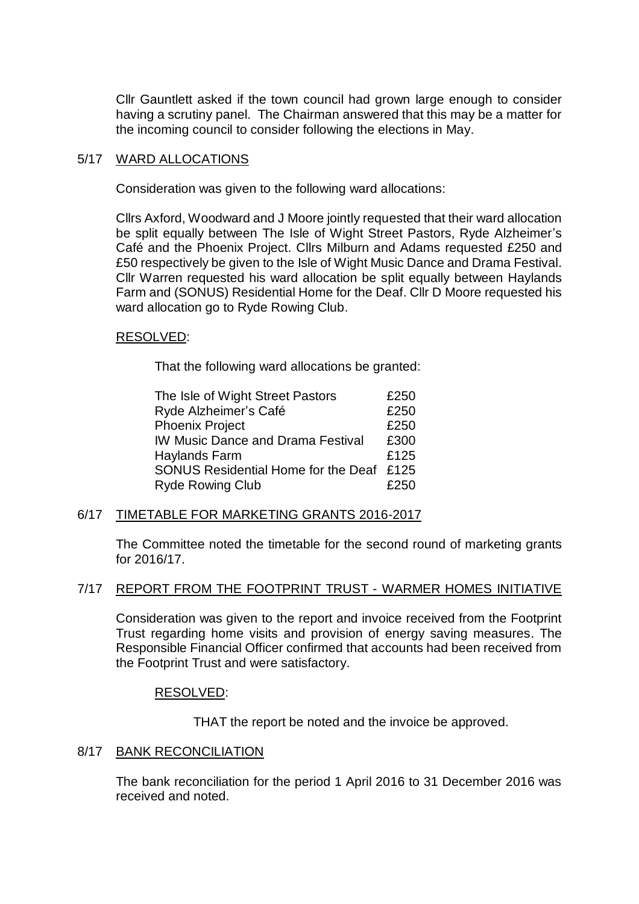Cllr Gauntlett asked if the town council had grown large enough to consider having a scrutiny panel. The Chairman answered that this may be a matter for the incoming council to consider following the elections in May.

## 5/17 WARD ALLOCATIONS

Consideration was given to the following ward allocations:

Cllrs Axford, Woodward and J Moore jointly requested that their ward allocation be split equally between The Isle of Wight Street Pastors, Ryde Alzheimer's Café and the Phoenix Project. Cllrs Milburn and Adams requested £250 and £50 respectively be given to the Isle of Wight Music Dance and Drama Festival. Cllr Warren requested his ward allocation be split equally between Haylands Farm and (SONUS) Residential Home for the Deaf. Cllr D Moore requested his ward allocation go to Ryde Rowing Club.

## RESOLVED:

That the following ward allocations be granted:

| The Isle of Wight Street Pastors         | £250 |
|------------------------------------------|------|
| Ryde Alzheimer's Café                    | £250 |
| <b>Phoenix Project</b>                   | £250 |
| <b>IW Music Dance and Drama Festival</b> | £300 |
| <b>Haylands Farm</b>                     | £125 |
| SONUS Residential Home for the Deaf £125 |      |
| <b>Ryde Rowing Club</b>                  | £250 |

## 6/17 TIMETABLE FOR MARKETING GRANTS 2016-2017

The Committee noted the timetable for the second round of marketing grants for 2016/17.

#### 7/17 REPORT FROM THE FOOTPRINT TRUST - WARMER HOMES INITIATIVE

Consideration was given to the report and invoice received from the Footprint Trust regarding home visits and provision of energy saving measures. The Responsible Financial Officer confirmed that accounts had been received from the Footprint Trust and were satisfactory.

#### RESOLVED:

THAT the report be noted and the invoice be approved.

#### 8/17 BANK RECONCILIATION

The bank reconciliation for the period 1 April 2016 to 31 December 2016 was received and noted.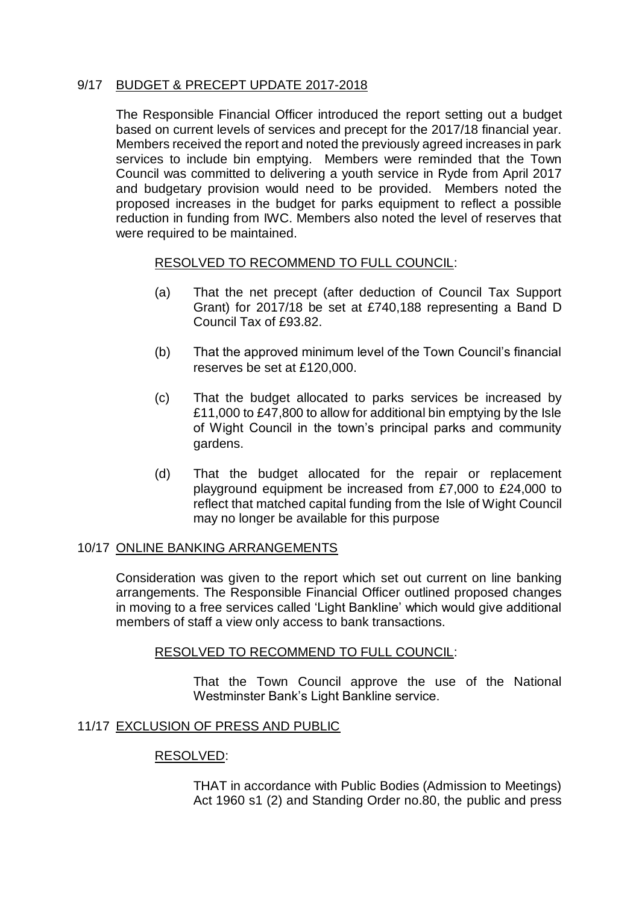# 9/17 BUDGET & PRECEPT UPDATE 2017-2018

The Responsible Financial Officer introduced the report setting out a budget based on current levels of services and precept for the 2017/18 financial year. Members received the report and noted the previously agreed increases in park services to include bin emptying. Members were reminded that the Town Council was committed to delivering a youth service in Ryde from April 2017 and budgetary provision would need to be provided. Members noted the proposed increases in the budget for parks equipment to reflect a possible reduction in funding from IWC. Members also noted the level of reserves that were required to be maintained.

## RESOLVED TO RECOMMEND TO FULL COUNCIL:

- (a) That the net precept (after deduction of Council Tax Support Grant) for 2017/18 be set at £740,188 representing a Band D Council Tax of £93.82.
- (b) That the approved minimum level of the Town Council's financial reserves be set at £120,000.
- (c) That the budget allocated to parks services be increased by £11,000 to £47,800 to allow for additional bin emptying by the Isle of Wight Council in the town's principal parks and community gardens.
- (d) That the budget allocated for the repair or replacement playground equipment be increased from £7,000 to £24,000 to reflect that matched capital funding from the Isle of Wight Council may no longer be available for this purpose

## 10/17 ONLINE BANKING ARRANGEMENTS

Consideration was given to the report which set out current on line banking arrangements. The Responsible Financial Officer outlined proposed changes in moving to a free services called 'Light Bankline' which would give additional members of staff a view only access to bank transactions.

## RESOLVED TO RECOMMEND TO FULL COUNCIL:

That the Town Council approve the use of the National Westminster Bank's Light Bankline service.

## 11/17 EXCLUSION OF PRESS AND PUBLIC

#### RESOLVED:

THAT in accordance with Public Bodies (Admission to Meetings) Act 1960 s1 (2) and Standing Order no.80, the public and press